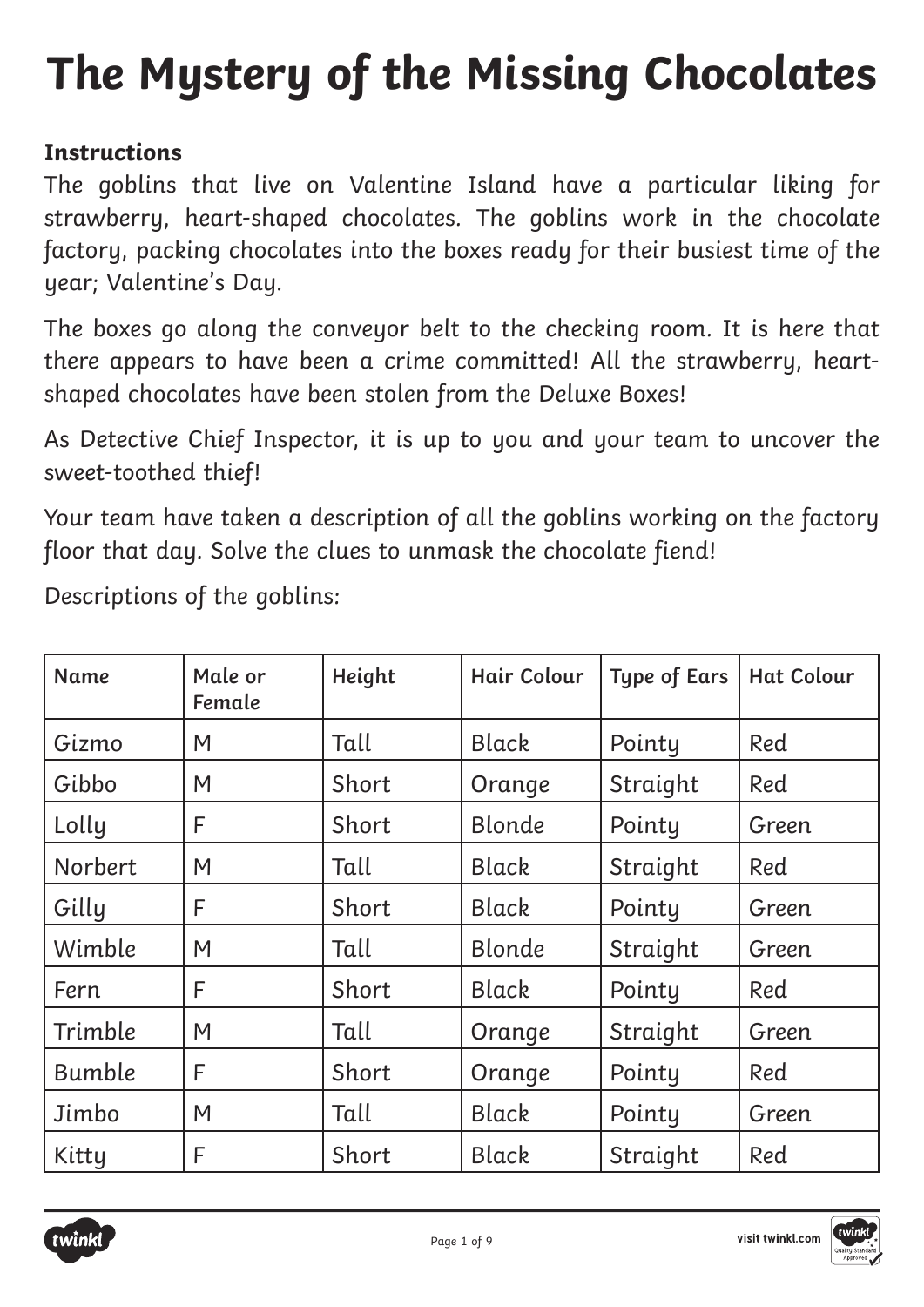# **The Mystery of the Missing Chocolates**

### **Instructions**

The goblins that live on Valentine Island have a particular liking for strawberry, heart-shaped chocolates. The goblins work in the chocolate factory, packing chocolates into the boxes ready for their busiest time of the year; Valentine's Day.

The boxes go along the conveyor belt to the checking room. It is here that there appears to have been a crime committed! All the strawberry, heartshaped chocolates have been stolen from the Deluxe Boxes!

As Detective Chief Inspector, it is up to you and your team to uncover the sweet-toothed thief!

Your team have taken a description of all the goblins working on the factory floor that day. Solve the clues to unmask the chocolate fiend!

Descriptions of the goblins:

| <b>Name</b>   | Male or<br>Female | Height | Hair Colour   | <b>Type of Ears</b> | <b>Hat Colour</b> |
|---------------|-------------------|--------|---------------|---------------------|-------------------|
| Gizmo         | M                 | Tall   | <b>Black</b>  | Pointy              | Red               |
| Gibbo         | M                 | Short  | Orange        | Straight            | Red               |
| Lolly         | F                 | Short  | Blonde        | Pointy              | Green             |
| Norbert       | M                 | Tall   | Black         | Straight            | Red               |
| Gilly         | F                 | Short  | <b>Black</b>  | Pointy              | Green             |
| Wimble        | M                 | Tall   | <b>Blonde</b> | Straight            | Green             |
| Fern          | F                 | Short  | Black         | Pointy              | Red               |
| Trimble       | M                 | Tall   | Orange        | Straight            | Green             |
| <b>Bumble</b> | F                 | Short  | Orange        | Pointy              | Red               |
| Jimbo         | M                 | Tall   | <b>Black</b>  | Pointy              | Green             |
| Kitty         | F                 | Short  | <b>Black</b>  | Straight            | Red               |

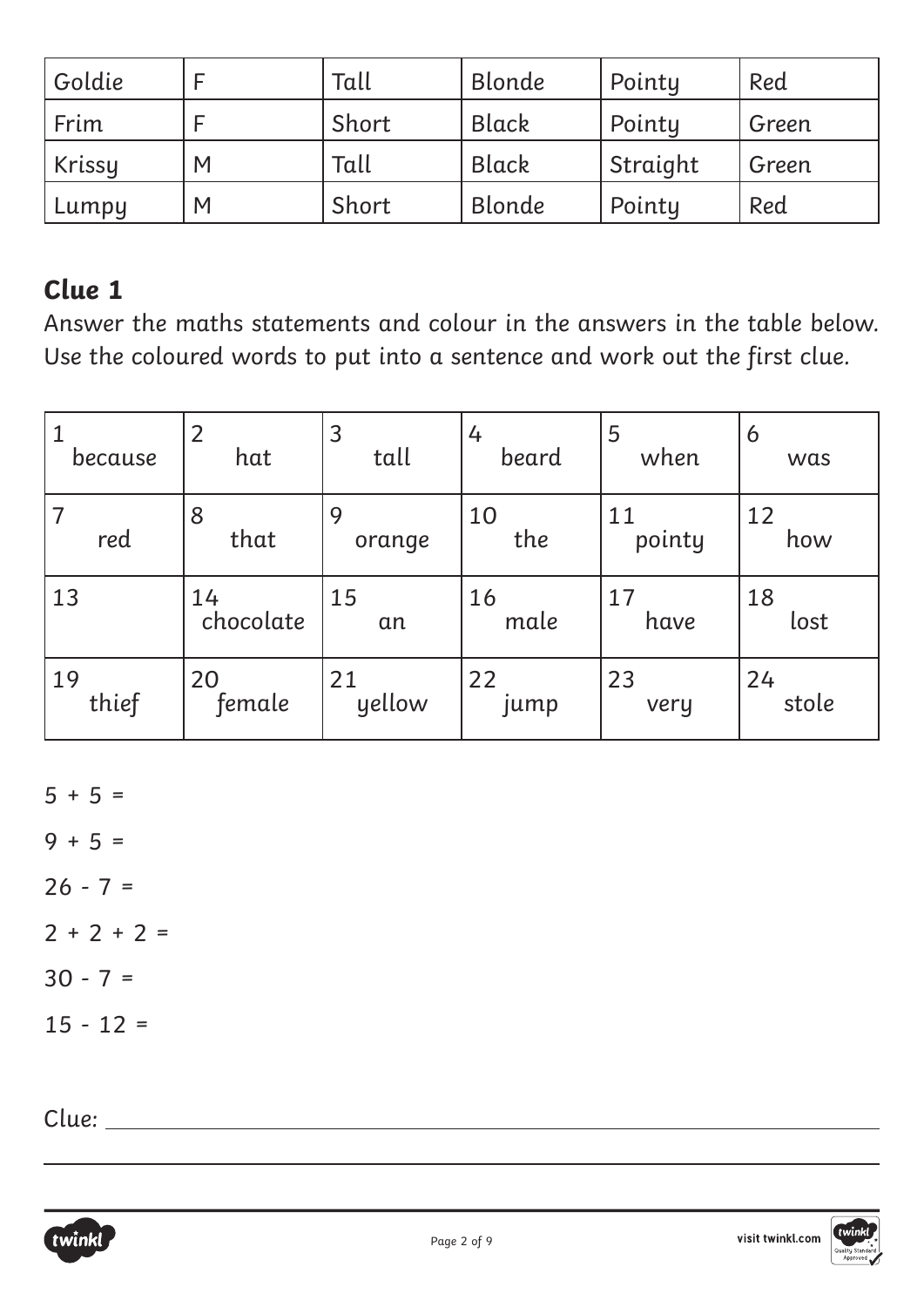| Goldie |   | Tall  | Blonde        | Pointy   | Red   |
|--------|---|-------|---------------|----------|-------|
| l Frim |   | Short | Black         | Pointy   | Green |
| Krissy | M | Tall  | Black         | Straight | Green |
| Lumpy  | M | Short | <b>Blonde</b> | Pointy   | Red   |

Answer the maths statements and colour in the answers in the table below. Use the coloured words to put into a sentence and work out the first clue.

| because | 2         | 3      | 4     | 5      | 6     |
|---------|-----------|--------|-------|--------|-------|
|         | hat       | tall   | beard | when   | was   |
| red     | 8         | 9      | 10    | 11     | 12    |
|         | that      | orange | the   | pointy | how   |
| 13      | 14        | 15     | 16    | 17     | 18    |
|         | chocolate | an     | male  | have   | lost  |
| 19      | 20        | 21     | 22    | 23     | 24    |
| thief   | female    | yellow | jump  | very   | stole |

 $5 + 5 =$ 

 $9 + 5 =$ 

 $26 - 7 =$ 

 $2 + 2 + 2 =$ 

 $30 - 7 =$ 

 $15 - 12 =$ 

Clue:



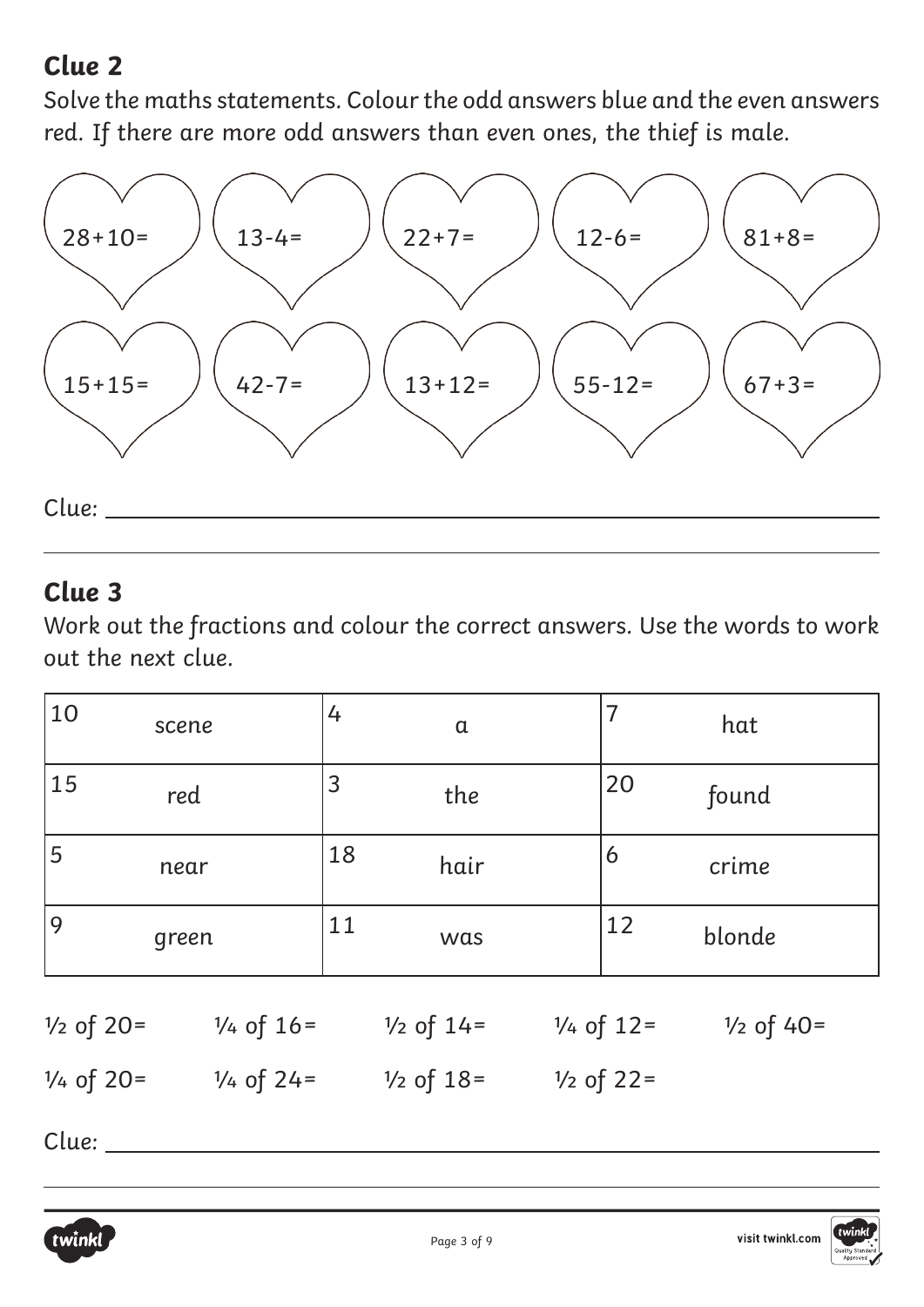Solve the maths statements. Colour the odd answers blue and the even answers red. If there are more odd answers than even ones, the thief is male.



### **Clue 3**

Work out the fractions and colour the correct answers. Use the words to work out the next clue.

| 4                                              | $\overline{7}$       |
|------------------------------------------------|----------------------|
| $\alpha$                                       | hat                  |
| 3                                              | 20                   |
| the                                            | found                |
| 18                                             | 6                    |
| hair                                           | crime                |
| 11                                             | 12                   |
| was                                            | blonde               |
| $\frac{1}{4}$ of 12=<br>$\frac{1}{2}$ of $14=$ | $\frac{1}{2}$ of 40= |
| $\frac{1}{2}$ of 22=<br>$\frac{1}{2}$ of 18=   |                      |
|                                                |                      |

Clue: \_\_\_\_\_\_\_\_\_\_\_

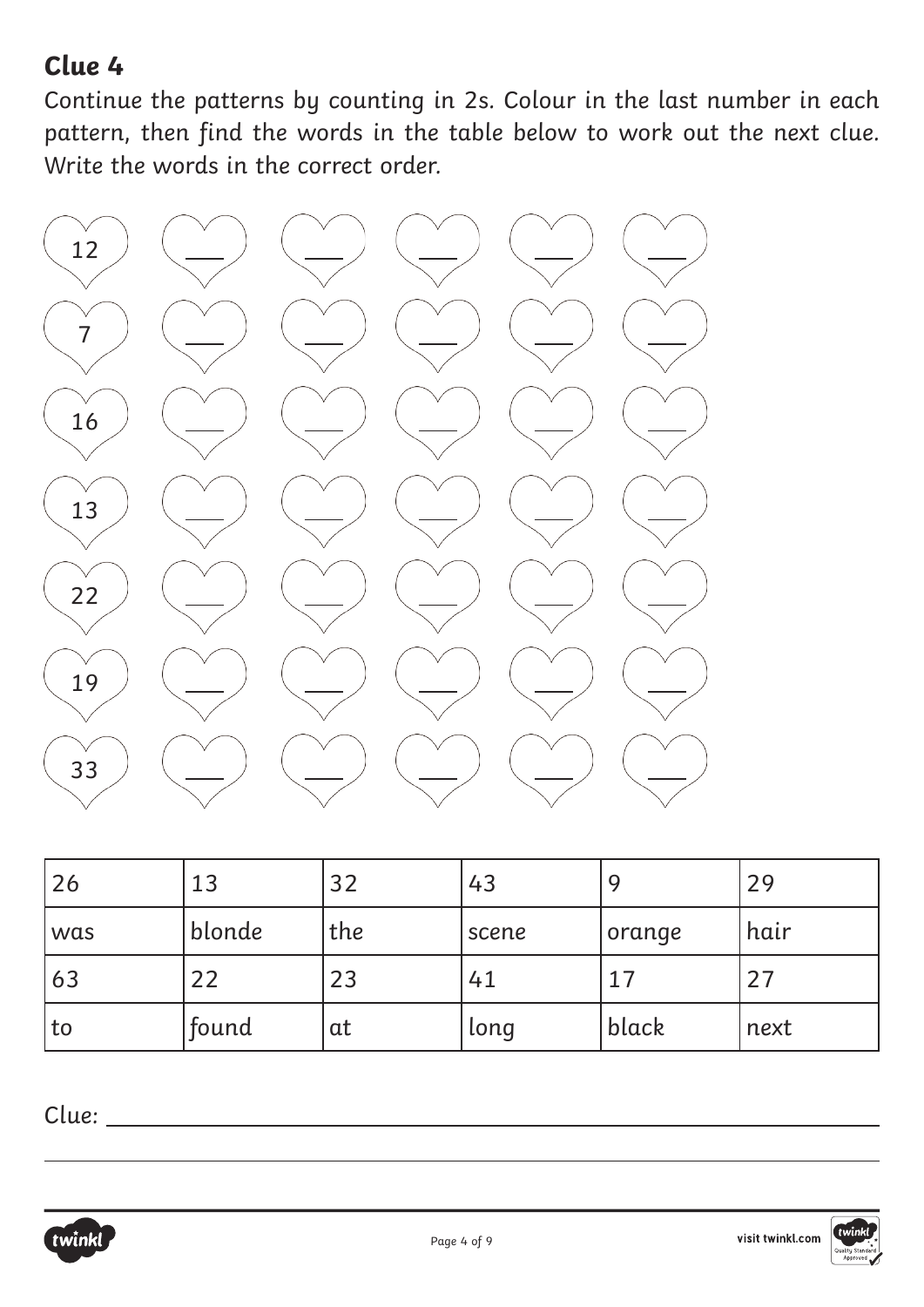Continue the patterns by counting in 2s. Colour in the last number in each pattern, then find the words in the table below to work out the next clue. Write the words in the correct order.



| 26  | 13     | 32  | 43    |        | 29   |
|-----|--------|-----|-------|--------|------|
| was | blonde | the | scene | orange | hair |
| 63  | 22     | 23  | 41    |        | 27   |
| to  | found  | at  | long  | black  | next |

Clue:



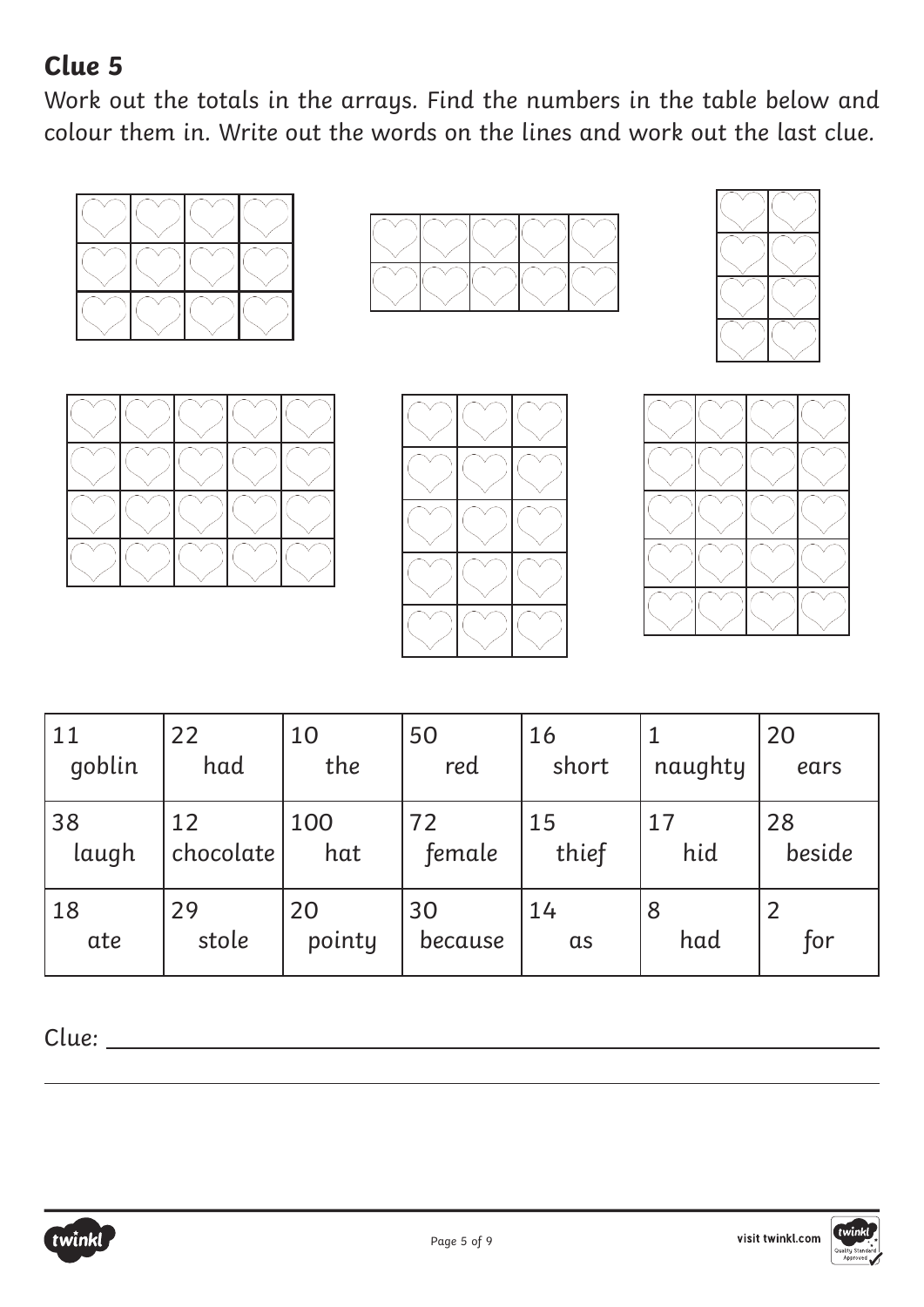Work out the totals in the arrays. Find the numbers in the table below and colour them in. Write out the words on the lines and work out the last clue.













| 11     | 22        | 10     | 50      | 16         | naughty | 20     |
|--------|-----------|--------|---------|------------|---------|--------|
| qoblin | had       | the    | red     | short      |         | ears   |
| 38     | 12        | 100    | 72      | 15         | 17      | 28     |
| laugh  | chocolate | hat    | female  | thief      | hid     | beside |
| 18     | 29        | 20     | 30      | 14         | 8       | for    |
| ate    | stole     | pointy | because | $\alpha$ s | had     |        |

Clue:



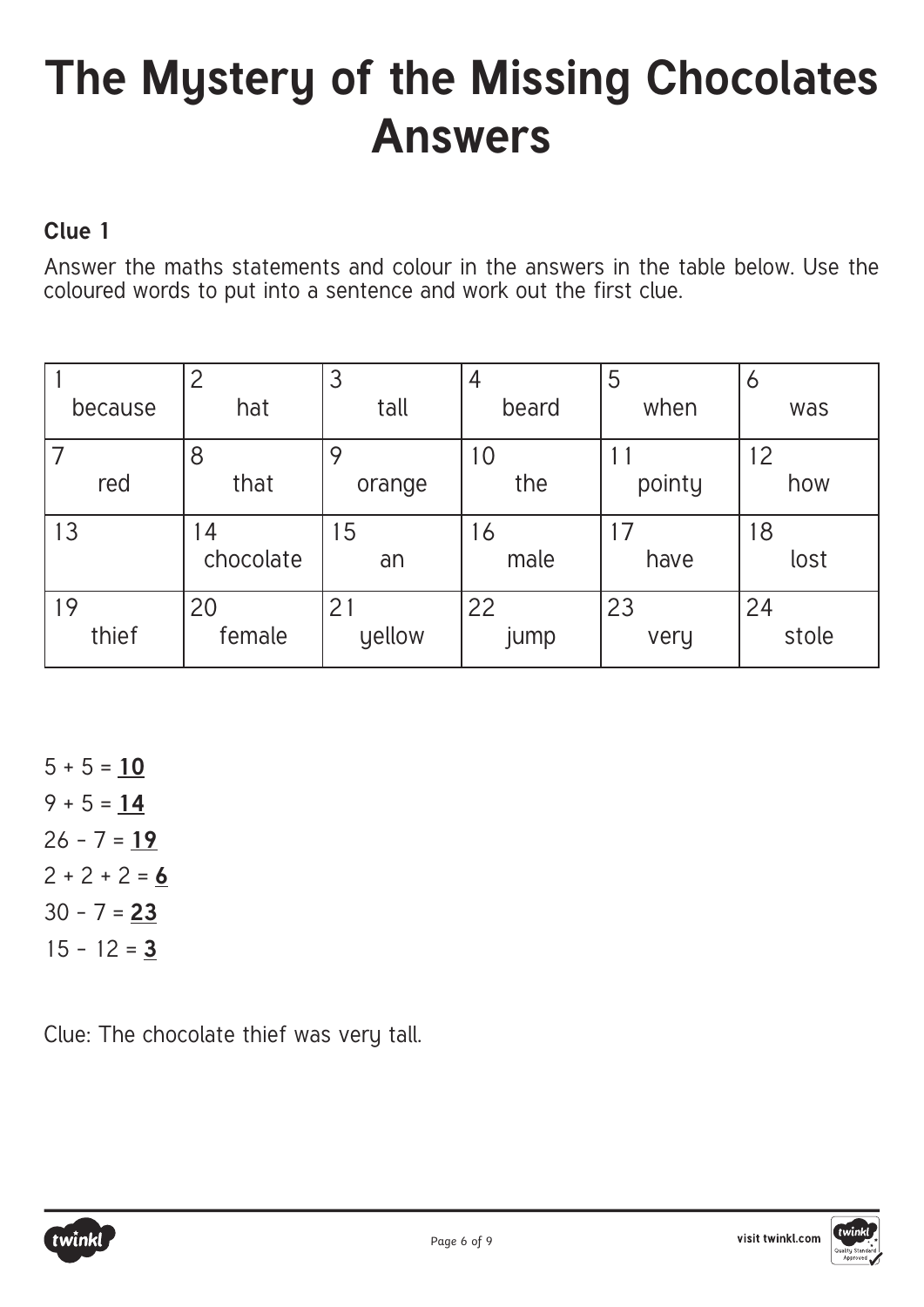## **The Mystery of the Missing Chocolates Answers**

### **Clue 1**

Answer the maths statements and colour in the answers in the table below. Use the coloured words to put into a sentence and work out the first clue.

|             | $\overline{2}$ | 3            | 4          | 5          | O           |
|-------------|----------------|--------------|------------|------------|-------------|
| because     | hat            | tall         | beard      | when       | was         |
| red         | 8<br>that      | 9<br>orange  | 10<br>the  | pointy     | 12<br>how   |
| 13          | 4<br>chocolate | 15<br>an     | 16<br>male | have       | 18<br>lost  |
| 19<br>thief | 20<br>female   | 21<br>yellow | 22<br>jump | 23<br>very | 24<br>stole |

 $5 + 5 = 10$ 9 + 5 = **14** 26 - 7 = **19**  $2 + 2 + 2 = 6$ 30 - 7 = **23** 15 - 12 = **3**

Clue: The chocolate thief was very tall.



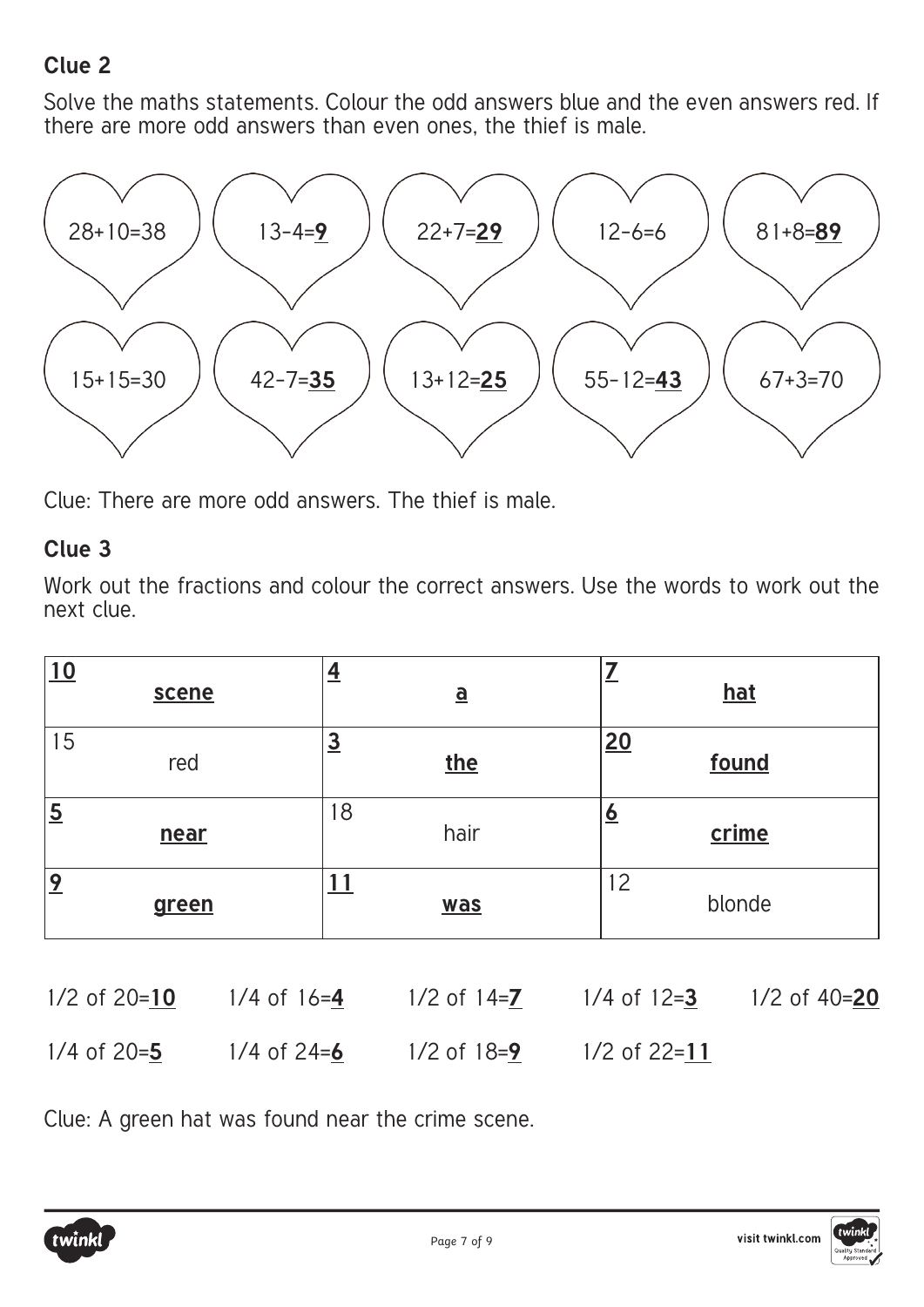Solve the maths statements. Colour the odd answers blue and the even answers red. If there are more odd answers than even ones, the thief is male.



Clue: There are more odd answers. The thief is male.

#### **Clue 3**

Work out the fractions and colour the correct answers. Use the words to work out the next clue.

| 10                      | <u> 삭</u>                | =                       |
|-------------------------|--------------------------|-------------------------|
| scene                   | $\underline{\mathbf{a}}$ | hat                     |
| 15                      | $\overline{3}$           | 20                      |
| red                     | the                      | found                   |
| $\overline{5}$          | 18                       | $\overline{\mathbf{o}}$ |
| near                    | hair                     | crime                   |
| $\overline{2}$<br>green | was                      | 12<br>blonde            |

| $1/2$ of $20=10$ | $1/4$ of 16=4   | $1/2$ of 14= <b>7</b> | $1/4$ of 12=3  | $1/2$ of 40=20 |
|------------------|-----------------|-----------------------|----------------|----------------|
| $1/4$ of 20=5    | 1/4 of $24 = 6$ | $1/2$ of $18=9$       | $1/2$ of 22=11 |                |

Clue: A green hat was found near the crime scene.



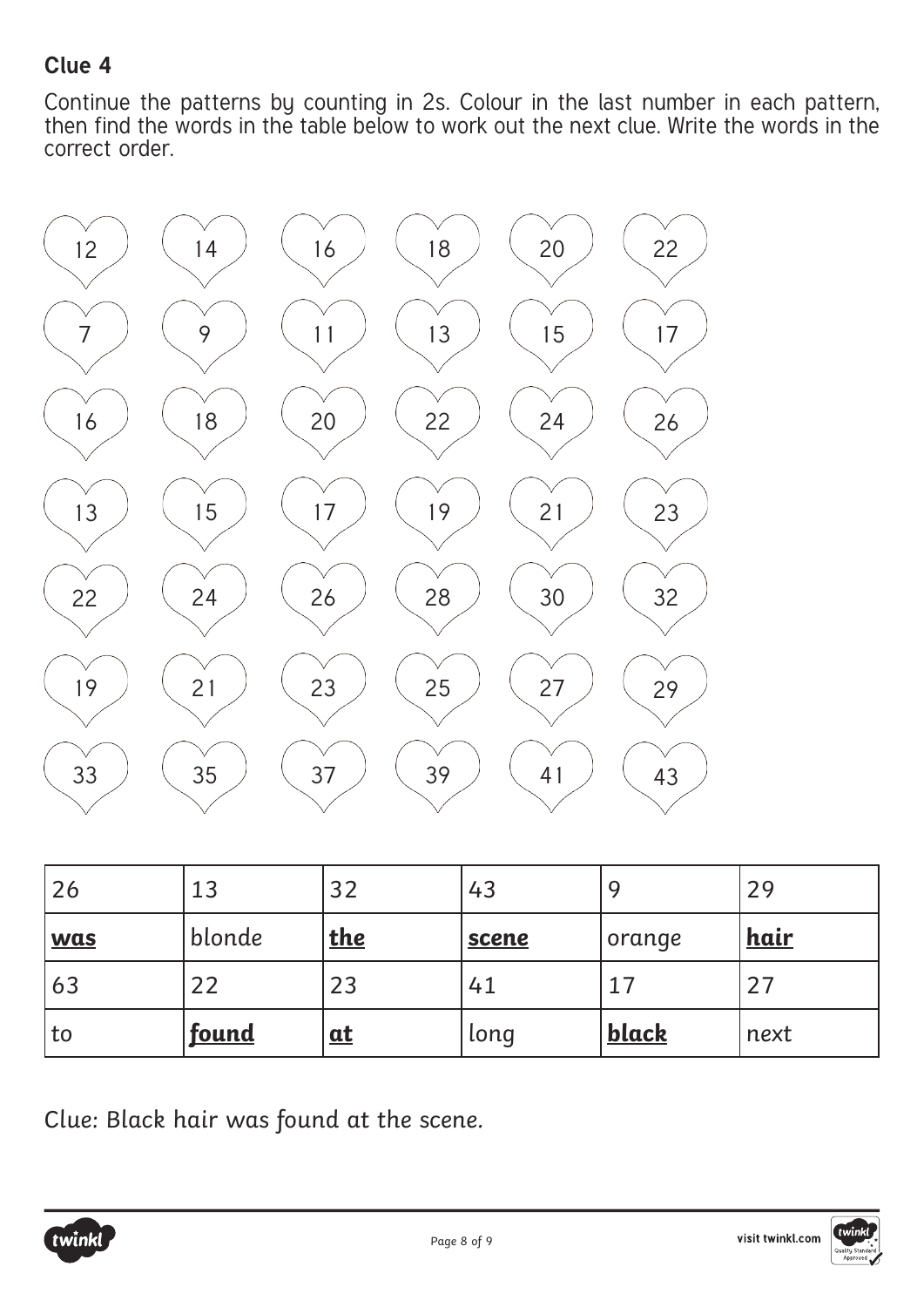Continue the patterns by counting in 2s. Colour in the last number in each pattern, then find the words in the table below to work out the next clue. Write the words in the correct order.



| 26         | 13           | 32         | 43           |              | 29          |
|------------|--------------|------------|--------------|--------------|-------------|
| <b>was</b> | blonde       | <u>the</u> | <b>scene</b> | orange       | <u>hair</u> |
| 63         | 22           | 23         | 41           |              | 27          |
| to         | <u>found</u> | at         | long         | <b>black</b> | next        |

Clue: Black hair was found at the scene.